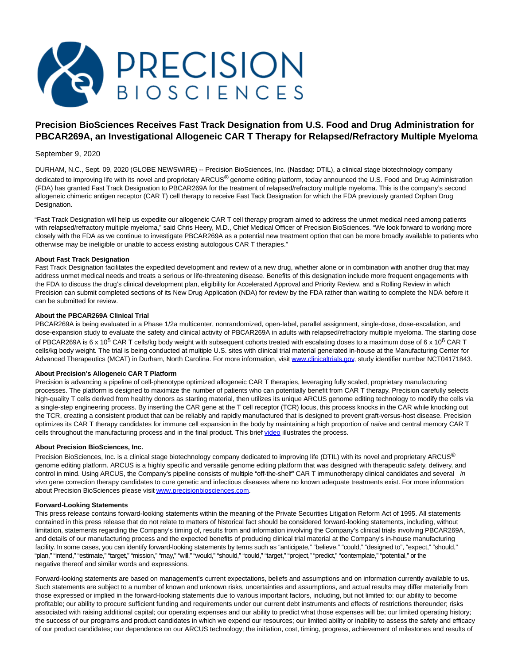

# **Precision BioSciences Receives Fast Track Designation from U.S. Food and Drug Administration for PBCAR269A, an Investigational Allogeneic CAR T Therapy for Relapsed/Refractory Multiple Myeloma**

# September 9, 2020

DURHAM, N.C., Sept. 09, 2020 (GLOBE NEWSWIRE) -- Precision BioSciences, Inc. (Nasdaq: DTIL), a clinical stage biotechnology company dedicated to improving life with its novel and proprietary ARCUS® genome editing platform, today announced the U.S. Food and Drug Administration (FDA) has granted Fast Track Designation to PBCAR269A for the treatment of relapsed/refractory multiple myeloma. This is the company's second allogeneic chimeric antigen receptor (CAR T) cell therapy to receive Fast Tack Designation for which the FDA previously granted Orphan Drug Designation.

"Fast Track Designation will help us expedite our allogeneic CAR T cell therapy program aimed to address the unmet medical need among patients with relapsed/refractory multiple myeloma," said Chris Heery, M.D., Chief Medical Officer of Precision BioSciences. "We look forward to working more closely with the FDA as we continue to investigate PBCAR269A as a potential new treatment option that can be more broadly available to patients who otherwise may be ineligible or unable to access existing autologous CAR T therapies."

## **About Fast Track Designation**

Fast Track Designation facilitates the expedited development and review of a new drug, whether alone or in combination with another drug that may address unmet medical needs and treats a serious or life-threatening disease. Benefits of this designation include more frequent engagements with the FDA to discuss the drug's clinical development plan, eligibility for Accelerated Approval and Priority Review, and a Rolling Review in which Precision can submit completed sections of its New Drug Application (NDA) for review by the FDA rather than waiting to complete the NDA before it can be submitted for review.

### **About the PBCAR269A Clinical Trial**

PBCAR269A is being evaluated in a Phase 1/2a multicenter, nonrandomized, open-label, parallel assignment, single-dose, dose-escalation, and dose-expansion study to evaluate the safety and clinical activity of PBCAR269A in adults with relapsed/refractory multiple myeloma. The starting dose of PBCAR269A is 6 x 10<sup>5</sup> CAR T cells/kg body weight with subsequent cohorts treated with escalating doses to a maximum dose of 6 x 10<sup>6</sup> CAR T cells/kg body weight. The trial is being conducted at multiple U.S. sites with clinical trial material generated in-house at the Manufacturing Center for Advanced Therapeutics (MCAT) in Durham, North Carolina. For more information, visit [www.clinicaltrials.gov,](https://www.globenewswire.com/Tracker?data=YTSK7xcakBjtkYE_FbyVrxMFTi_s3n_ADkEypo9p-VxmJTlzmEj7Dy99tuQwW1-cq9jqUpEKAHxihqEOuBoW5RjJw7qEjHPiGifSlHqwlkCtQvcJpNOBFTdc0eXPzi2RDDySkDT7lcjogl-gDGaFK9yIw6xa0YQHw1Db88SBk_fB_m2mwL_kU9nK023yS4bA4huqoZIwcek359wuRGkzmJoceWt4orX_8k2KPP0SCDebb7JDAF8ciPe2Bx2lvt-kUcgWqmdVnB6N4VVvxKKoog==) study identifier number NCT04171843.

## **About Precision's Allogeneic CAR T Platform**

Precision is advancing a pipeline of cell-phenotype optimized allogeneic CAR T therapies, leveraging fully scaled, proprietary manufacturing processes. The platform is designed to maximize the number of patients who can potentially benefit from CAR T therapy. Precision carefully selects high-quality T cells derived from healthy donors as starting material, then utilizes its unique ARCUS genome editing technology to modify the cells via a single-step engineering process. By inserting the CAR gene at the T cell receptor (TCR) locus, this process knocks in the CAR while knocking out the TCR, creating a consistent product that can be reliably and rapidly manufactured that is designed to prevent graft-versus-host disease. Precision optimizes its CAR T therapy candidates for immune cell expansion in the body by maintaining a high proportion of naïve and central memory CAR T cells throughout the manufacturing process and in the final product. This brie[f video i](https://www.globenewswire.com/Tracker?data=BBaz25Tk9vKxCJcSTBbOP3cbJi7Mi7FVsfv6OmAawV7TGwCQQuQJ-PR4Xa-hgXfbp-noUQLLRvb4W4ZXmRB9NugOD1AcJO3pGD9KuDdGzh8=)llustrates the process.

#### **About Precision BioSciences, Inc.**

Precision BioSciences, Inc. is a clinical stage biotechnology company dedicated to improving life (DTIL) with its novel and proprietary ARCUS® genome editing platform. ARCUS is a highly specific and versatile genome editing platform that was designed with therapeutic safety, delivery, and control in mind. Using ARCUS, the Company's pipeline consists of multiple "off-the-shelf" CAR T immunotherapy clinical candidates and several in vivo gene correction therapy candidates to cure genetic and infectious diseases where no known adequate treatments exist. For more information about Precision BioSciences please visi[t www.precisionbiosciences.com.](https://www.globenewswire.com/Tracker?data=ky40uygc3b4eCVcYx_4n5gwGBaNI3asEA5GStEdw4m4KRb_j5cyhGyHaUktaBkAePycB5ZYON23OAN853MWf9R8528Lz8KjJ8uPBAvzlxiV_VVJ2eiSuT8QrRTrROLwZ4_zap8UWH9sUJKgdfifq0wvhtMJEfLMUSVRicZB-tYi9_wSQVs2iILZlB9ypDXwZOwjrOZvYEedwewJyRGDffWYLF-814AkZNBzUC8oRreOIN1paBdWVnOOPIv88x72VBlHEDo3XKjl6yW3JZKYf62_XHFylTOoJsmoGVH2Zy5U=)

#### **Forward-Looking Statements**

This press release contains forward-looking statements within the meaning of the Private Securities Litigation Reform Act of 1995. All statements contained in this press release that do not relate to matters of historical fact should be considered forward-looking statements, including, without limitation, statements regarding the Company's timing of, results from and information involving the Company's clinical trials involving PBCAR269A, and details of our manufacturing process and the expected benefits of producing clinical trial material at the Company's in-house manufacturing facility. In some cases, you can identify forward-looking statements by terms such as "anticipate," "believe," "could," "designed to", "expect," "should," "plan," "intend," "estimate," "target," "mission," "may," "will," "would," "should," "could," "target," "project," "predict," "contemplate," "potential," or the negative thereof and similar words and expressions.

Forward-looking statements are based on management's current expectations, beliefs and assumptions and on information currently available to us. Such statements are subject to a number of known and unknown risks, uncertainties and assumptions, and actual results may differ materially from those expressed or implied in the forward-looking statements due to various important factors, including, but not limited to: our ability to become profitable; our ability to procure sufficient funding and requirements under our current debt instruments and effects of restrictions thereunder; risks associated with raising additional capital; our operating expenses and our ability to predict what those expenses will be; our limited operating history; the success of our programs and product candidates in which we expend our resources; our limited ability or inability to assess the safety and efficacy of our product candidates; our dependence on our ARCUS technology; the initiation, cost, timing, progress, achievement of milestones and results of